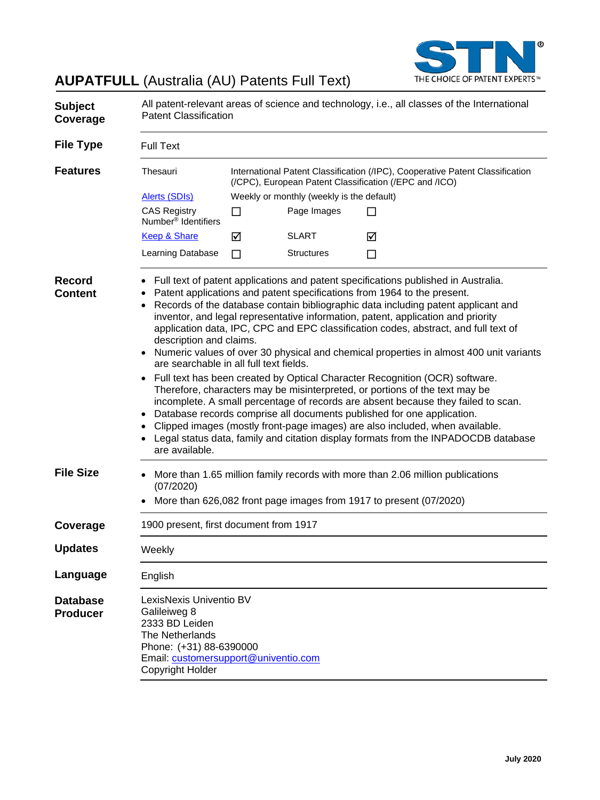

# **AUPATFULL** (Australia (AU) Patents Full Text)

| <b>Subject</b><br>Coverage         | All patent-relevant areas of science and technology, i.e., all classes of the International<br><b>Patent Classification</b>                                                                                                                                                                                                                                                                                                                                                                                                                                                                                                                                                                                                                                                                                                                                                                                                                                                                                                                                                                                        |                                                                                                                                         |                   |   |  |  |
|------------------------------------|--------------------------------------------------------------------------------------------------------------------------------------------------------------------------------------------------------------------------------------------------------------------------------------------------------------------------------------------------------------------------------------------------------------------------------------------------------------------------------------------------------------------------------------------------------------------------------------------------------------------------------------------------------------------------------------------------------------------------------------------------------------------------------------------------------------------------------------------------------------------------------------------------------------------------------------------------------------------------------------------------------------------------------------------------------------------------------------------------------------------|-----------------------------------------------------------------------------------------------------------------------------------------|-------------------|---|--|--|
| <b>File Type</b>                   | <b>Full Text</b>                                                                                                                                                                                                                                                                                                                                                                                                                                                                                                                                                                                                                                                                                                                                                                                                                                                                                                                                                                                                                                                                                                   |                                                                                                                                         |                   |   |  |  |
| <b>Features</b>                    | Thesauri                                                                                                                                                                                                                                                                                                                                                                                                                                                                                                                                                                                                                                                                                                                                                                                                                                                                                                                                                                                                                                                                                                           | International Patent Classification (/IPC), Cooperative Patent Classification<br>(/CPC), European Patent Classification (/EPC and /ICO) |                   |   |  |  |
|                                    | <b>Alerts (SDIs)</b>                                                                                                                                                                                                                                                                                                                                                                                                                                                                                                                                                                                                                                                                                                                                                                                                                                                                                                                                                                                                                                                                                               | Weekly or monthly (weekly is the default)                                                                                               |                   |   |  |  |
|                                    | <b>CAS Registry</b><br>Number <sup>®</sup> Identifiers                                                                                                                                                                                                                                                                                                                                                                                                                                                                                                                                                                                                                                                                                                                                                                                                                                                                                                                                                                                                                                                             | □                                                                                                                                       | Page Images       |   |  |  |
|                                    | Keep & Share                                                                                                                                                                                                                                                                                                                                                                                                                                                                                                                                                                                                                                                                                                                                                                                                                                                                                                                                                                                                                                                                                                       | ☑                                                                                                                                       | <b>SLART</b>      | ☑ |  |  |
|                                    | Learning Database                                                                                                                                                                                                                                                                                                                                                                                                                                                                                                                                                                                                                                                                                                                                                                                                                                                                                                                                                                                                                                                                                                  | П                                                                                                                                       | <b>Structures</b> | □ |  |  |
| <b>Record</b><br><b>Content</b>    | Full text of patent applications and patent specifications published in Australia.<br>Patent applications and patent specifications from 1964 to the present.<br>Records of the database contain bibliographic data including patent applicant and<br>inventor, and legal representative information, patent, application and priority<br>application data, IPC, CPC and EPC classification codes, abstract, and full text of<br>description and claims.<br>Numeric values of over 30 physical and chemical properties in almost 400 unit variants<br>are searchable in all full text fields.<br>Full text has been created by Optical Character Recognition (OCR) software.<br>Therefore, characters may be misinterpreted, or portions of the text may be<br>incomplete. A small percentage of records are absent because they failed to scan.<br>Database records comprise all documents published for one application.<br>Clipped images (mostly front-page images) are also included, when available.<br>Legal status data, family and citation display formats from the INPADOCDB database<br>are available. |                                                                                                                                         |                   |   |  |  |
| <b>File Size</b>                   | More than 1.65 million family records with more than 2.06 million publications<br>(07/2020)<br>More than 626,082 front page images from 1917 to present (07/2020)                                                                                                                                                                                                                                                                                                                                                                                                                                                                                                                                                                                                                                                                                                                                                                                                                                                                                                                                                  |                                                                                                                                         |                   |   |  |  |
| Coverage                           | 1900 present, first document from 1917                                                                                                                                                                                                                                                                                                                                                                                                                                                                                                                                                                                                                                                                                                                                                                                                                                                                                                                                                                                                                                                                             |                                                                                                                                         |                   |   |  |  |
| <b>Updates</b>                     | Weekly                                                                                                                                                                                                                                                                                                                                                                                                                                                                                                                                                                                                                                                                                                                                                                                                                                                                                                                                                                                                                                                                                                             |                                                                                                                                         |                   |   |  |  |
| Language                           | English                                                                                                                                                                                                                                                                                                                                                                                                                                                                                                                                                                                                                                                                                                                                                                                                                                                                                                                                                                                                                                                                                                            |                                                                                                                                         |                   |   |  |  |
| <b>Database</b><br><b>Producer</b> | LexisNexis Univentio BV<br>Galileiweg 8<br>2333 BD Leiden<br>The Netherlands<br>Phone: (+31) 88-6390000<br>Email: customersupport@univentio.com<br>Copyright Holder                                                                                                                                                                                                                                                                                                                                                                                                                                                                                                                                                                                                                                                                                                                                                                                                                                                                                                                                                |                                                                                                                                         |                   |   |  |  |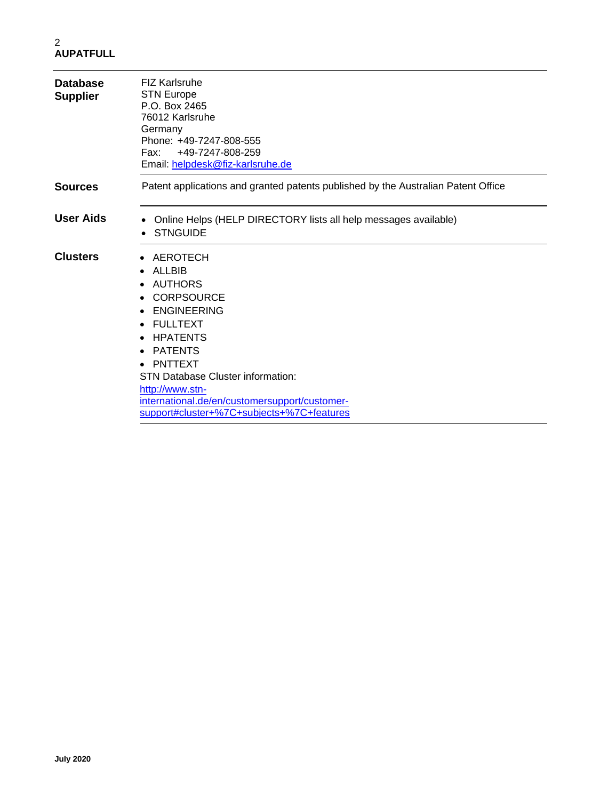| <b>Database</b><br><b>Supplier</b> | <b>FIZ Karlsruhe</b><br><b>STN Europe</b><br>P.O. Box 2465<br>76012 Karlsruhe<br>Germany<br>Phone: +49-7247-808-555<br>+49-7247-808-259<br>Fax:<br>Email: helpdesk@fiz-karlsruhe.de                                                                                                                                                                               |
|------------------------------------|-------------------------------------------------------------------------------------------------------------------------------------------------------------------------------------------------------------------------------------------------------------------------------------------------------------------------------------------------------------------|
| <b>Sources</b>                     | Patent applications and granted patents published by the Australian Patent Office                                                                                                                                                                                                                                                                                 |
| <b>User Aids</b>                   | Online Helps (HELP DIRECTORY lists all help messages available)<br><b>STNGUIDE</b>                                                                                                                                                                                                                                                                                |
| <b>Clusters</b>                    | AEROTECH<br>$\bullet$<br>ALLBIB<br>$\bullet$<br>AUTHORS<br><b>CORPSOURCE</b><br><b>ENGINEERING</b><br><b>FULLTEXT</b><br>$\bullet$<br><b>HPATENTS</b><br>$\bullet$<br><b>PATENTS</b><br>٠<br>PNTTEXT<br><b>STN Database Cluster information:</b><br>http://www.stn-<br>international.de/en/customersupport/customer-<br>support#cluster+%7C+subjects+%7C+features |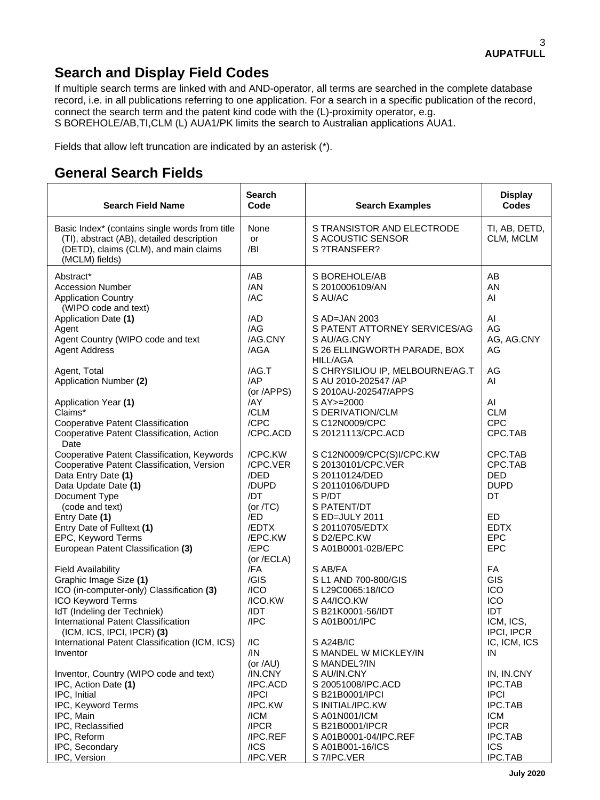# **Search and Display Field Codes**

If multiple search terms are linked with and AND-operator, all terms are searched in the complete database record, i.e. in all publications referring to one application. For a search in a specific publication of the record, connect the search term and the patent kind code with the (L)-proximity operator, e.g. S BOREHOLE/AB,TI,CLM (L) AUA1/PK limits the search to Australian applications AUA1.

Fields that allow left truncation are indicated by an asterisk (\*).

# **General Search Fields**

| <b>Search Field Name</b>                                                                                                                                                | Search<br>Code                                | <b>Search Examples</b>                                                                             | <b>Display</b><br><b>Codes</b>                               |
|-------------------------------------------------------------------------------------------------------------------------------------------------------------------------|-----------------------------------------------|----------------------------------------------------------------------------------------------------|--------------------------------------------------------------|
| Basic Index* (contains single words from title<br>(TI), abstract (AB), detailed description<br>(DETD), claims (CLM), and main claims<br>(MCLM) fields)                  | None<br>or<br>/BI                             | S TRANSISTOR AND ELECTRODE<br>S ACOUSTIC SENSOR<br>S ?TRANSFER?                                    | TI, AB, DETD,<br>CLM, MCLM                                   |
| Abstract*<br><b>Accession Number</b><br><b>Application Country</b>                                                                                                      | /AB<br>/AN<br>/AC                             | S BOREHOLE/AB<br>S 2010006109/AN<br>S AU/AC                                                        | AB<br><b>AN</b><br>AI                                        |
| (WIPO code and text)<br>Application Date (1)<br>Agent<br>Agent Country (WIPO code and text<br><b>Agent Address</b>                                                      | /AD<br>/AG<br>/AG.CNY<br>/AGA                 | S AD=JAN 2003<br>S PATENT ATTORNEY SERVICES/AG<br>S AU/AG.CNY<br>S 26 ELLINGWORTH PARADE, BOX      | AI<br>AG<br>AG, AG.CNY<br>AG                                 |
| Agent, Total<br>Application Number (2)                                                                                                                                  | /AG.T<br>/AP<br>(or /APPS)                    | <b>HILL/AGA</b><br>S CHRYSILIOU IP, MELBOURNE/AG.T<br>S AU 2010-202547 /AP<br>S 2010AU-202547/APPS | AG<br>AI                                                     |
| Application Year (1)<br>Claims*<br>Cooperative Patent Classification<br>Cooperative Patent Classification, Action                                                       | /AY<br>/CLM<br>/CPC<br>/CPC.ACD               | S AY>=2000<br>S DERIVATION/CLM<br>S C12N0009/CPC<br>S 20121113/CPC.ACD                             | AI<br><b>CLM</b><br><b>CPC</b><br>CPC.TAB                    |
| Date<br>Cooperative Patent Classification, Keywords<br>Cooperative Patent Classification, Version<br>Data Entry Date (1)<br>Data Update Date (1)                        | /CPC.KW<br>/CPC.VER<br>/DED<br>/DUPD          | S C12N0009/CPC(S)I/CPC.KW<br>S 20130101/CPC.VER<br>S 20110124/DED<br>S 20110106/DUPD               | CPC.TAB<br>CPC.TAB<br><b>DED</b><br><b>DUPD</b>              |
| Document Type<br>(code and text)<br>Entry Date (1)<br>Entry Date of Fulltext (1)<br>EPC, Keyword Terms                                                                  | /DT<br>(or $/TC$ )<br>/ED<br>/EDTX<br>/EPC.KW | S P/DT<br>S PATENT/DT<br>S ED=JULY 2011<br>S 20110705/EDTX<br>S D2/EPC.KW                          | DT<br><b>ED</b><br><b>EDTX</b><br><b>EPC</b>                 |
| European Patent Classification (3)<br><b>Field Availability</b><br>Graphic Image Size (1)<br>ICO (in-computer-only) Classification (3)                                  | /EPC<br>(or /ECLA)<br>/FA<br>/GIS<br>/ICO     | S A01B0001-02B/EPC<br>S AB/FA<br>S L1 AND 700-800/GIS<br>S L29C0065:18/ICO                         | <b>EPC</b><br>FA<br>GIS<br>ICO                               |
| ICO Keyword Terms<br>IdT (Indeling der Techniek)<br>International Patent Classification<br>(ICM, ICS, IPCI, IPCR) (3)<br>International Patent Classification (ICM, ICS) | /ICO.KW<br>/IDT<br>/IPC<br>/IC                | S A4/ICO.KW<br>S B21K0001-56/IDT<br>S A01B001/IPC<br><b>S A24B/IC</b>                              | ICO<br><b>IDT</b><br>ICM, ICS,<br>IPCI, IPCR<br>IC, ICM, ICS |
| Inventor<br>Inventor, Country (WIPO code and text)<br>IPC, Action Date (1)                                                                                              | /IN<br>(or $/AU$ )<br>/IN.CNY<br>/IPC.ACD     | S MANDEL W MICKLEY/IN<br>S MANDEL?/IN<br>S AU/IN.CNY<br>S 20051008/IPC.ACD                         | IN<br>IN, IN.CNY<br><b>IPC.TAB</b>                           |
| IPC, Initial<br>IPC, Keyword Terms<br>IPC, Main<br>IPC, Reclassified                                                                                                    | /IPCI<br>/IPC.KW<br>/ICM<br>/IPCR             | S B21B0001/IPCI<br>S INITIAL/IPC.KW<br>S A01N001/ICM<br>S B21B0001/IPCR                            | <b>IPCI</b><br><b>IPC.TAB</b><br><b>ICM</b><br><b>IPCR</b>   |
| IPC, Reform<br>IPC, Secondary<br>IPC, Version                                                                                                                           | /IPC.REF<br>$/$ ICS<br>/IPC.VER               | S A01B0001-04/IPC.REF<br>S A01B001-16/ICS<br>S 7/IPC.VER                                           | <b>IPC.TAB</b><br><b>ICS</b><br>IPC.TAB                      |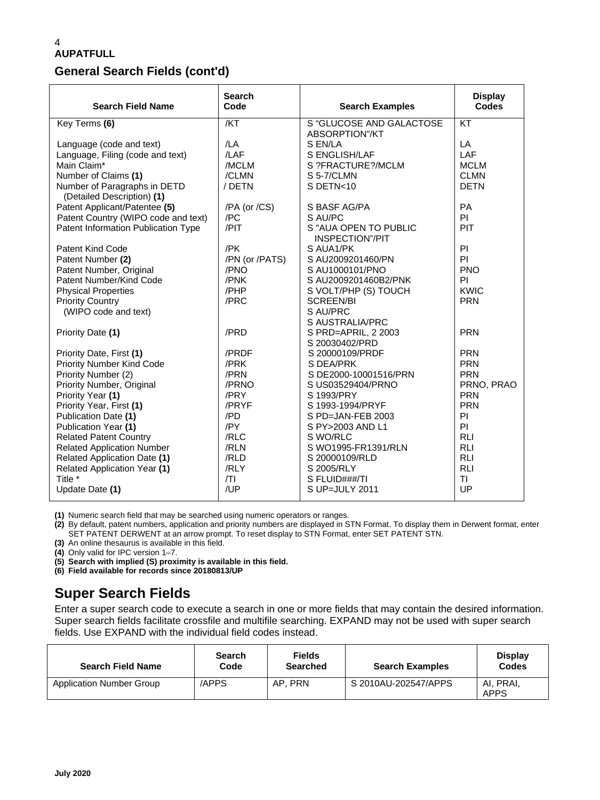### **General Search Fields (cont'd)**

| <b>Search Field Name</b>                                   | <b>Search</b><br>Code | <b>Search Examples</b>                     | <b>Display</b><br><b>Codes</b> |
|------------------------------------------------------------|-----------------------|--------------------------------------------|--------------------------------|
| Key Terms (6)                                              | /KT                   | S "GLUCOSE AND GALACTOSE<br>ABSORPTION"/KT | KT                             |
| Language (code and text)                                   | /LA                   | S EN/LA                                    | LA                             |
| Language, Filing (code and text)                           | /LAF                  | S ENGLISH/LAF                              | LAF                            |
| Main Claim*                                                | /MCLM                 | S ?FRACTURE?/MCLM                          | <b>MCLM</b>                    |
| Number of Claims (1)                                       | /CLMN                 | S 5-7/CLMN                                 | <b>CLMN</b>                    |
| Number of Paragraphs in DETD<br>(Detailed Description) (1) | / DETN                | S DETN<10                                  | <b>DETN</b>                    |
| Patent Applicant/Patentee (5)                              | /PA (or /CS)          | S BASF AG/PA                               | <b>PA</b>                      |
| Patent Country (WIPO code and text)                        | /PC                   | S AU/PC                                    | PI                             |
| Patent Information Publication Type                        | /PIT                  | S "AUA OPEN TO PUBLIC<br>INSPECTION"/PIT   | PIT                            |
| Patent Kind Code                                           | /PK                   | S AUA1/PK                                  | PI                             |
| Patent Number (2)                                          | /PN (or /PATS)        | S AU2009201460/PN                          | PI                             |
| Patent Number, Original                                    | /PNO                  | S AU1000101/PNO                            | <b>PNO</b>                     |
| Patent Number/Kind Code                                    | /PNK                  | S AU2009201460B2/PNK                       | PI                             |
| <b>Physical Properties</b>                                 | /PHP                  | S VOLT/PHP (S) TOUCH                       | <b>KWIC</b>                    |
| <b>Priority Country</b>                                    | /PRC                  | <b>SCREEN/BI</b>                           | <b>PRN</b>                     |
| (WIPO code and text)                                       |                       | S AU/PRC                                   |                                |
|                                                            |                       | S AUSTRALIA/PRC                            |                                |
| Priority Date (1)                                          | /PRD                  | S PRD=APRIL, 2 2003<br>S 20030402/PRD      | <b>PRN</b>                     |
| Priority Date, First (1)                                   | /PRDF                 | S 20000109/PRDF                            | <b>PRN</b>                     |
| Priority Number Kind Code                                  | /PRK                  | S DEA/PRK                                  | <b>PRN</b>                     |
| Priority Number (2)                                        | /PRN                  | S DE2000-10001516/PRN                      | <b>PRN</b>                     |
| Priority Number, Original                                  | /PRNO                 | S US03529404/PRNO                          | PRNO, PRAO                     |
| Priority Year (1)                                          | /PRY                  | S 1993/PRY                                 | <b>PRN</b>                     |
| Priority Year, First (1)                                   | /PRYF                 | S 1993-1994/PRYF                           | <b>PRN</b>                     |
| Publication Date (1)                                       | /PD                   | S PD=JAN-FEB 2003                          | PI                             |
| Publication Year (1)                                       | /PY                   | S PY>2003 AND L1                           | PI                             |
| <b>Related Patent Country</b>                              | /RLC                  | S WO/RLC                                   | <b>RLI</b>                     |
| <b>Related Application Number</b>                          | /RLN                  | S WO1995-FR1391/RLN                        | <b>RLI</b>                     |
| <b>Related Application Date (1)</b>                        | /RLD                  | S 20000109/RLD                             | <b>RLI</b>                     |
| Related Application Year (1)                               | /RLY                  | S 2005/RLY                                 | <b>RLI</b>                     |
| Title *                                                    | T                     | S FLUID###/TI                              | <b>TI</b>                      |
| Update Date (1)                                            | /UP                   | S UP=JULY 2011                             | UP                             |

**(1)** Numeric search field that may be searched using numeric operators or ranges.

**(2)** By default, patent numbers, application and priority numbers are displayed in STN Format. To display them in Derwent format, enter SET PATENT DERWENT at an arrow prompt. To reset display to STN Format, enter SET PATENT STN.

**(3)** An online thesaurus is available in this field.

**(4)** Only valid for IPC version 1–7.

**(5) Search with implied (S) proximity is available in this field.**

**(6) Field available for records since 20180813/UP**

# **Super Search Fields**

Enter a super search code to execute a search in one or more fields that may contain the desired information. Super search fields facilitate crossfile and multifile searching. EXPAND may not be used with super search fields. Use EXPAND with the individual field codes instead.

| <b>Search Field Name</b>        | <b>Search</b><br>Code | <b>Fields</b><br>Searched | <b>Search Examples</b> | <b>Display</b><br>Codes  |
|---------------------------------|-----------------------|---------------------------|------------------------|--------------------------|
| <b>Application Number Group</b> | /APPS                 | AP. PRN                   | S 2010AU-202547/APPS   | AI, PRAI,<br><b>APPS</b> |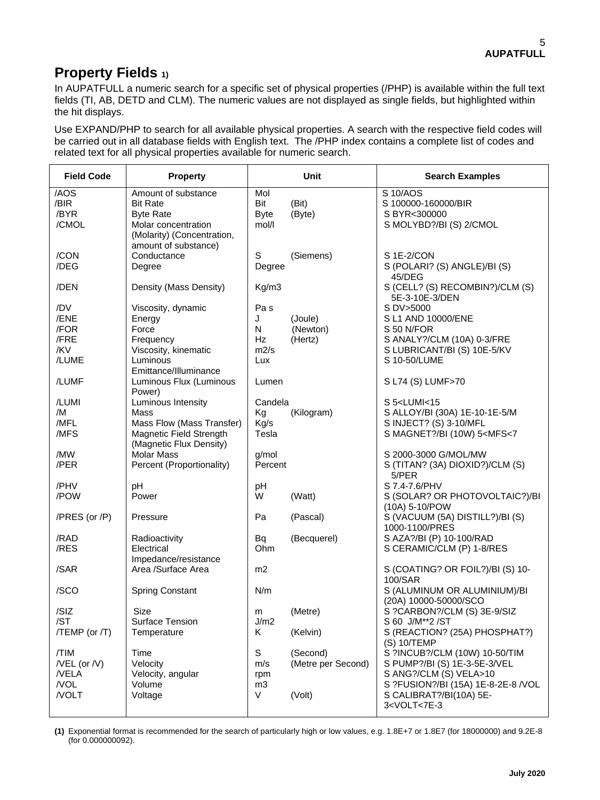# **Property Fields 1)**

In AUPATFULL a numeric search for a specific set of physical properties (/PHP) is available within the full text fields (TI, AB, DETD and CLM). The numeric values are not displayed as single fields, but highlighted within the hit displays.

Use EXPAND/PHP to search for all available physical properties. A search with the respective field codes will be carried out in all database fields with English text. The /PHP index contains a complete list of codes and related text for all physical properties available for numeric search.

| <b>Field Code</b>                           | <b>Property</b>                                                                                                 |                                                | <b>Unit</b>                    | <b>Search Examples</b>                                                                                                                       |
|---------------------------------------------|-----------------------------------------------------------------------------------------------------------------|------------------------------------------------|--------------------------------|----------------------------------------------------------------------------------------------------------------------------------------------|
| /AOS<br>/BIR<br>/BYR<br>/CMOL               | Amount of substance<br><b>Bit Rate</b><br><b>Byte Rate</b><br>Molar concentration<br>(Molarity) (Concentration, | Mol<br>Bit<br><b>Byte</b><br>mol/l             | (Bit)<br>(Byte)                | S 10/AOS<br>S 100000-160000/BIR<br>S BYR<300000<br>S MOLYBD?/BI (S) 2/CMOL                                                                   |
| /CON<br>/DEG                                | amount of substance)<br>Conductance<br>Degree                                                                   | S<br>Degree                                    | (Siemens)                      | S 1E-2/CON<br>S (POLARI? (S) ANGLE)/BI (S)<br>45/DEG                                                                                         |
| /DEN                                        | Density (Mass Density)                                                                                          | Kg/m3                                          |                                | S (CELL? (S) RECOMBIN?)/CLM (S)<br>5E-3-10E-3/DEN                                                                                            |
| /DV<br>/ENE<br>/FOR<br>/FRE<br>/KV<br>/LUME | Viscosity, dynamic<br>Energy<br>Force<br>Frequency<br>Viscosity, kinematic<br>Luminous<br>Emittance/Illuminance | Pa <sub>s</sub><br>J<br>N<br>Hz<br>m2/s<br>Lux | (Joule)<br>(Newton)<br>(Hertz) | S DV>5000<br>S L1 AND 10000/ENE<br>S 50 N/FOR<br>S ANALY?/CLM (10A) 0-3/FRE<br>S LUBRICANT/BI (S) 10E-5/KV<br>S 10-50/LUME                   |
| /LUMF                                       | Luminous Flux (Luminous<br>Power)                                                                               | Lumen                                          |                                | S L74 (S) LUMF>70                                                                                                                            |
| /LUMI<br>/M<br>/MFL<br>/MFS                 | Luminous Intensity<br>Mass<br>Mass Flow (Mass Transfer)<br>Magnetic Field Strength<br>(Magnetic Flux Density)   | Candela<br>Kg<br>Kg/s<br>Tesla                 | (Kilogram)                     | S 5 <lumi<15<br>S ALLOY/BI (30A) 1E-10-1E-5/M<br/>S INJECT? (S) 3-10/MFL<br/>S MAGNET?/BI (10W) 5<mfs<7< td=""></mfs<7<></lumi<15<br>        |
| /MW<br>/PER                                 | <b>Molar Mass</b><br>Percent (Proportionality)                                                                  | g/mol<br>Percent                               |                                | S 2000-3000 G/MOL/MW<br>S (TITAN? (3A) DIOXID?)/CLM (S)<br>5/PER                                                                             |
| /PHV<br>/POW                                | pH<br>Power                                                                                                     | pH<br>W                                        | (Watt)                         | S 7.4-7.6/PHV<br>S (SOLAR? OR PHOTOVOLTAIC?)/BI<br>(10A) 5-10/POW                                                                            |
| /PRES (or /P)                               | Pressure                                                                                                        | Pa                                             | (Pascal)                       | S (VACUUM (5A) DISTILL?)/BI (S)<br>1000-1100/PRES                                                                                            |
| /RAD<br>/RES                                | Radioactivity<br>Electrical<br>Impedance/resistance                                                             | Bq<br>Ohm                                      | (Becquerel)                    | S AZA?/BI (P) 10-100/RAD<br>S CERAMIC/CLM (P) 1-8/RES                                                                                        |
| /SAR                                        | Area /Surface Area                                                                                              | m2                                             |                                | S (COATING? OR FOIL?)/BI (S) 10-<br>100/SAR                                                                                                  |
| /SCO                                        | <b>Spring Constant</b>                                                                                          | N/m                                            |                                | S (ALUMINUM OR ALUMINIUM)/BI                                                                                                                 |
| /SIZ<br>/ST<br>$/TEMP$ (or $/T$ )           | Size<br>Surface Tension<br>Temperature                                                                          | m<br>J/m2<br>Κ                                 | (Metre)<br>(Kelvin)            | (20A) 10000-50000/SCO<br>S ?CARBON?/CLM (S) 3E-9/SIZ<br>S 60 J/M**2 /ST<br>S (REACTION? (25A) PHOSPHAT?)                                     |
| /TIM<br>$/$ VEL (or $/$ V)<br>/VELA<br>/VOL | Time<br>Velocity<br>Velocity, angular<br>Volume                                                                 | S<br>m/s<br>rpm<br>m <sub>3</sub>              | (Second)<br>(Metre per Second) | (S) 10/TEMP<br>S ?INCUB?/CLM (10W) 10-50/TIM<br>S PUMP?/BI (S) 1E-3-5E-3/VEL<br>S ANG?/CLM (S) VELA>10<br>S ?FUSION?/BI (15A) 1E-8-2E-8 /VOL |
| /VOLT                                       | Voltage                                                                                                         | V                                              | (Volt)                         | S CALIBRAT?/BI(10A) 5E-<br>3 <volt<7e-3< td=""></volt<7e-3<>                                                                                 |

**(1)** Exponential format is recommended for the search of particularly high or low values, e.g. 1.8E+7 or 1.8E7 (for 18000000) and 9.2E-8 (for 0.000000092).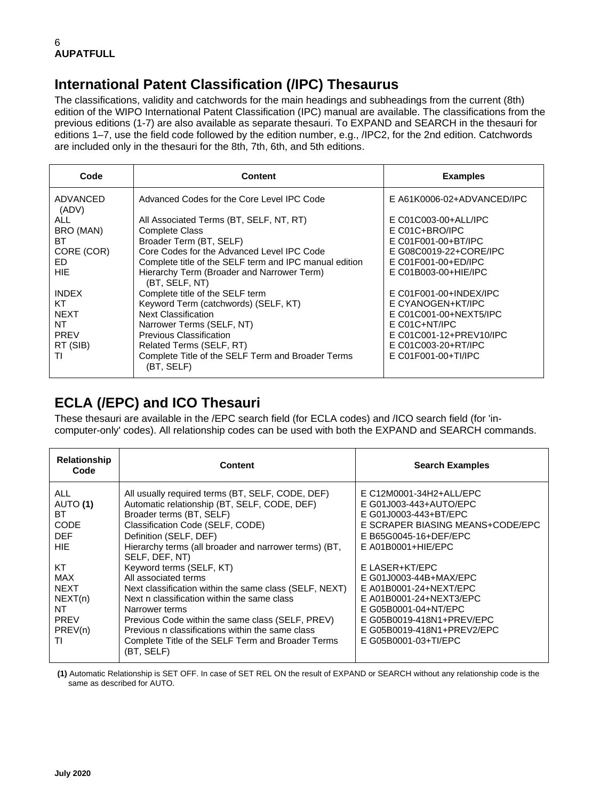# **International Patent Classification (/IPC) Thesaurus**

The classifications, validity and catchwords for the main headings and subheadings from the current (8th) edition of the WIPO International Patent Classification (IPC) manual are available. The classifications from the previous editions (1-7) are also available as separate thesauri. To EXPAND and SEARCH in the thesauri for editions 1–7, use the field code followed by the edition number, e.g., /IPC2, for the 2nd edition. Catchwords are included only in the thesauri for the 8th, 7th, 6th, and 5th editions.

| Code              | <b>Content</b>                                                  | <b>Examples</b>            |
|-------------------|-----------------------------------------------------------------|----------------------------|
| ADVANCED<br>(ADV) | Advanced Codes for the Core Level IPC Code                      | E A61K0006-02+ADVANCED/IPC |
| ALL               | All Associated Terms (BT, SELF, NT, RT)                         | E C01C003-00+ALL/IPC       |
| BRO (MAN)         | <b>Complete Class</b>                                           | $E CO1C + BRO/IPC$         |
| BT                | Broader Term (BT, SELF)                                         | E C01F001-00+BT/IPC        |
| CORE (COR)        | Core Codes for the Advanced Level IPC Code                      | E G08C0019-22+CORE/IPC     |
| ED                | Complete title of the SELF term and IPC manual edition          | E C01F001-00+ED/IPC        |
| <b>HIE</b>        | Hierarchy Term (Broader and Narrower Term)<br>(BT, SELF, NT)    | E C01B003-00+HIE/IPC       |
| <b>INDEX</b>      | Complete title of the SELF term                                 | $E$ C01F001-00+INDEX/IPC   |
| КT                | Keyword Term (catchwords) (SELF, KT)                            | E CYANOGEN+KT/IPC          |
| <b>NEXT</b>       | <b>Next Classification</b>                                      | E C01C001-00+NEXT5/IPC     |
| NT                | Narrower Terms (SELF, NT)                                       | $E CO1C+NT/IPC$            |
| <b>PREV</b>       | Previous Classification                                         | E C01C001-12+PREV10/IPC    |
| RT (SIB)          | Related Terms (SELF, RT)                                        | E C01C003-20+RT/IPC        |
| TI                | Complete Title of the SELF Term and Broader Terms<br>(BT, SELF) | E C01F001-00+TI/IPC        |

# **ECLA (/EPC) and ICO Thesauri**

These thesauri are available in the /EPC search field (for ECLA codes) and /ICO search field (for 'incomputer-only' codes). All relationship codes can be used with both the EXPAND and SEARCH commands.

| <b>Relationship</b><br>Code                                                      | <b>Content</b>                                                                                                                                                                                                                                                                                                                                                           | <b>Search Examples</b>                                                                                                                                                                                   |
|----------------------------------------------------------------------------------|--------------------------------------------------------------------------------------------------------------------------------------------------------------------------------------------------------------------------------------------------------------------------------------------------------------------------------------------------------------------------|----------------------------------------------------------------------------------------------------------------------------------------------------------------------------------------------------------|
| ALL<br>AUTO (1)<br>ВT<br><b>CODE</b><br><b>DEF</b><br>HIE                        | All usually required terms (BT, SELF, CODE, DEF)<br>Automatic relationship (BT, SELF, CODE, DEF)<br>Broader terms (BT, SELF)<br>Classification Code (SELF, CODE)<br>Definition (SELF, DEF)<br>Hierarchy terms (all broader and narrower terms) (BT,                                                                                                                      | E C12M0001-34H2+ALL/EPC<br>E G01J003-443+AUTO/EPC<br>E G01J0003-443+BT/EPC<br>E SCRAPER BIASING MEANS+CODE/EPC<br>E B65G0045-16+DEF/EPC<br>$E$ A01B0001+HIE/EPC                                          |
| КT<br><b>MAX</b><br><b>NEXT</b><br>NEXT(n)<br>NT<br><b>PREV</b><br>PREV(n)<br>TI | SELF, DEF, NT)<br>Keyword terms (SELF, KT)<br>All associated terms<br>Next classification within the same class (SELF, NEXT)<br>Next n classification within the same class<br>Narrower terms<br>Previous Code within the same class (SELF, PREV)<br>Previous n classifications within the same class<br>Complete Title of the SELF Term and Broader Terms<br>(BT, SELF) | E LASER+KT/EPC<br>E G01J0003-44B+MAX/EPC<br>E A01B0001-24+NEXT/EPC<br>E A01B0001-24+NEXT3/EPC<br>E G05B0001-04+NT/EPC<br>E G05B0019-418N1+PREV/EPC<br>E G05B0019-418N1+PREV2/EPC<br>E G05B0001-03+TI/EPC |

**(1)** Automatic Relationship is SET OFF. In case of SET REL ON the result of EXPAND or SEARCH without any relationship code is the same as described for AUTO.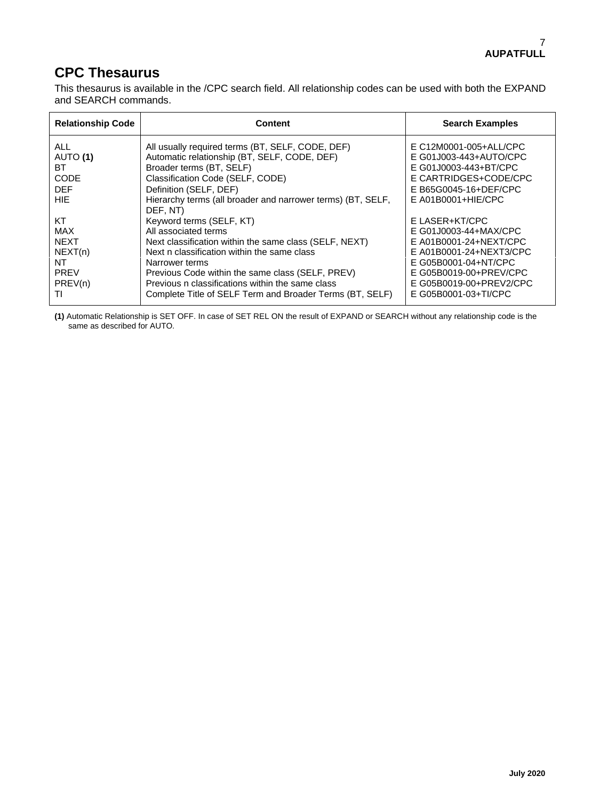## **CPC Thesaurus**

This thesaurus is available in the /CPC search field. All relationship codes can be used with both the EXPAND and SEARCH commands.

| <b>Relationship Code</b> | <b>Content</b>                                                                                                                | <b>Search Examples</b>                                          |
|--------------------------|-------------------------------------------------------------------------------------------------------------------------------|-----------------------------------------------------------------|
| ALL.                     | All usually required terms (BT, SELF, CODE, DEF)                                                                              | E C12M0001-005+ALL/CPC                                          |
| AUTO (1)                 | Automatic relationship (BT, SELF, CODE, DEF)                                                                                  | E G01J003-443+AUTO/CPC                                          |
| ВT                       | Broader terms (BT, SELF)                                                                                                      | E G01J0003-443+BT/CPC                                           |
| <b>CODE</b>              | Classification Code (SELF, CODE)                                                                                              | E CARTRIDGES+CODE/CPC                                           |
| <b>DFF</b><br>HIE<br>КT  | Definition (SELF, DEF)<br>Hierarchy terms (all broader and narrower terms) (BT, SELF,<br>DEF, NT)<br>Keyword terms (SELF, KT) | E B65G0045-16+DEF/CPC<br>$E$ A01B0001+HIE/CPC<br>E LASER+KT/CPC |
| <b>MAX</b>               | All associated terms                                                                                                          | E G01J0003-44+MAX/CPC                                           |
| <b>NEXT</b>              | Next classification within the same class (SELF, NEXT)                                                                        | E A01B0001-24+NEXT/CPC                                          |
| NEXT(n)                  | Next n classification within the same class                                                                                   | E A01B0001-24+NEXT3/CPC                                         |
| NT                       | Narrower terms                                                                                                                | E G05B0001-04+NT/CPC                                            |
| <b>PREV</b>              | Previous Code within the same class (SELF, PREV)                                                                              | E G05B0019-00+PREV/CPC                                          |
| PREV(n)                  | Previous n classifications within the same class                                                                              | E G05B0019-00+PREV2/CPC                                         |
| ΤI                       | Complete Title of SELF Term and Broader Terms (BT, SELF)                                                                      | E G05B0001-03+TI/CPC                                            |

**(1)** Automatic Relationship is SET OFF. In case of SET REL ON the result of EXPAND or SEARCH without any relationship code is the same as described for AUTO.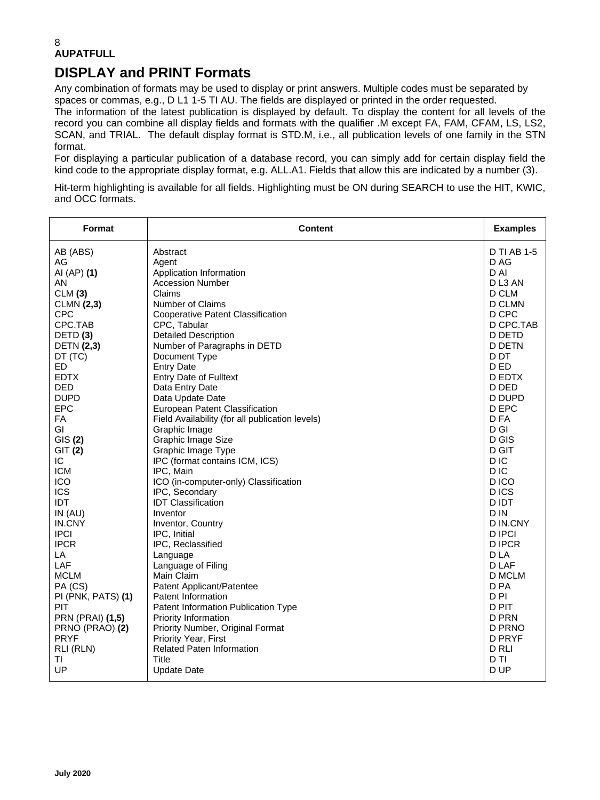# **DISPLAY and PRINT Formats**

Any combination of formats may be used to display or print answers. Multiple codes must be separated by spaces or commas, e.g., D L1 1-5 TI AU. The fields are displayed or printed in the order requested. The information of the latest publication is displayed by default. To display the content for all levels of the record you can combine all display fields and formats with the qualifier .M except FA, FAM, CFAM, LS, LS2, SCAN, and TRIAL. The default display format is STD.M, i.e., all publication levels of one family in the STN format.

For displaying a particular publication of a database record, you can simply add for certain display field the kind code to the appropriate display format, e.g. ALL.A1. Fields that allow this are indicated by a number (3).

Hit-term highlighting is available for all fields. Highlighting must be ON during SEARCH to use the HIT, KWIC, and OCC formats.

| Format                  | <b>Content</b>                                  | <b>Examples</b>    |
|-------------------------|-------------------------------------------------|--------------------|
| AB (ABS)                | Abstract                                        | <b>D TI AB 1-5</b> |
| AG                      | Agent                                           | D AG               |
| AI (AP) (1)             | Application Information                         | D AI               |
| AN                      | <b>Accession Number</b>                         | DL3 AN             |
| CLM(3)                  | Claims                                          | D CLM              |
| <b>CLMN (2,3)</b>       | Number of Claims                                | D CLMN             |
| <b>CPC</b>              | <b>Cooperative Patent Classification</b>        | D CPC              |
| CPC.TAB                 | CPC, Tabular                                    | D CPC.TAB          |
| DETD <sub>(3)</sub>     | <b>Detailed Description</b>                     | D DETD             |
| <b>DETN</b> (2,3)       | Number of Paragraphs in DETD                    | <b>D DETN</b>      |
| DT (TC)                 | Document Type                                   | D DT               |
| ED.                     | <b>Entry Date</b>                               | D ED               |
| <b>EDTX</b>             | <b>Entry Date of Fulltext</b>                   | D EDTX             |
| <b>DED</b>              | Data Entry Date                                 | D DED              |
| <b>DUPD</b>             | Data Update Date                                | <b>D DUPD</b>      |
| <b>EPC</b>              | European Patent Classification                  | D EPC              |
| FA                      | Field Availability (for all publication levels) | D FA               |
| GI                      | Graphic Image                                   | $D$ GI             |
| GIS(2)                  | Graphic Image Size                              | D GIS              |
| GIT (2)                 | Graphic Image Type                              | D GIT              |
| IC.                     | IPC (format contains ICM, ICS)                  | D IC               |
| <b>ICM</b>              | IPC, Main                                       | D <sub>IC</sub>    |
| <b>ICO</b>              | ICO (in-computer-only) Classification           | D ICO              |
| <b>ICS</b>              | IPC, Secondary                                  | D ICS              |
| <b>IDT</b>              | <b>IDT Classification</b>                       | D IDT              |
| IN(AU)                  | Inventor                                        | D IN               |
| IN.CNY                  | Inventor, Country                               | D IN.CNY           |
| <b>IPCI</b>             | IPC, Initial                                    | <b>D IPCI</b>      |
| <b>IPCR</b>             | IPC, Reclassified                               | <b>DIPCR</b>       |
| LA                      | Language                                        | D LA               |
| LAF                     | Language of Filing                              | D LAF              |
| <b>MCLM</b>             | Main Claim                                      | D MCLM             |
| PA (CS)                 | Patent Applicant/Patentee                       | D PA               |
| PI (PNK, PATS) (1)      | Patent Information                              | D <sub>PI</sub>    |
| PIT                     | Patent Information Publication Type             | D PIT              |
| <b>PRN (PRAI) (1,5)</b> | Priority Information                            | D PRN              |
| PRNO (PRAO) (2)         | Priority Number, Original Format                | D PRNO             |
| <b>PRYF</b>             | Priority Year, First                            | D PRYF             |
| RLI (RLN)               | <b>Related Paten Information</b>                | D RLI              |
| ΤI                      | <b>Title</b>                                    | D TI               |
| UP                      | <b>Update Date</b>                              | D UP               |
|                         |                                                 |                    |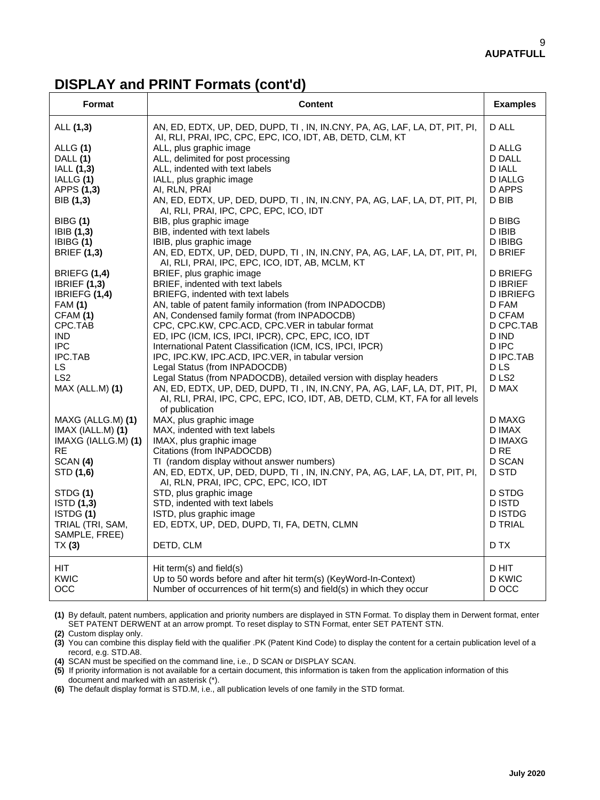## **DISPLAY and PRINT Formats (cont'd)**

| <b>Format</b>                                                                                                                                                                                   | <b>Content</b>                                                                                                                                                                                                                                                                                                                                                                                                                                                                                                                                                                                                                                                                                                  | <b>Examples</b>                                                                                                                                                     |
|-------------------------------------------------------------------------------------------------------------------------------------------------------------------------------------------------|-----------------------------------------------------------------------------------------------------------------------------------------------------------------------------------------------------------------------------------------------------------------------------------------------------------------------------------------------------------------------------------------------------------------------------------------------------------------------------------------------------------------------------------------------------------------------------------------------------------------------------------------------------------------------------------------------------------------|---------------------------------------------------------------------------------------------------------------------------------------------------------------------|
| ALL (1,3)                                                                                                                                                                                       | AN, ED, EDTX, UP, DED, DUPD, TI, IN, IN.CNY, PA, AG, LAF, LA, DT, PIT, PI,<br>AI, RLI, PRAI, IPC, CPC, EPC, ICO, IDT, AB, DETD, CLM, KT                                                                                                                                                                                                                                                                                                                                                                                                                                                                                                                                                                         | D ALL                                                                                                                                                               |
| ALLG (1)<br>DALL (1)<br>IALL (1,3)<br>IALLG (1)<br>APPS (1,3)<br>BIB (1,3)                                                                                                                      | ALL, plus graphic image<br>ALL, delimited for post processing<br>ALL, indented with text labels<br>IALL, plus graphic image<br>AI, RLN, PRAI<br>AN, ED, EDTX, UP, DED, DUPD, TI, IN, IN.CNY, PA, AG, LAF, LA, DT, PIT, PI,                                                                                                                                                                                                                                                                                                                                                                                                                                                                                      | <b>D ALLG</b><br>D DALL<br><b>DIALL</b><br>D IALLG<br>D APPS<br>D BIB                                                                                               |
| <b>BIBG</b> (1)<br>IBIB (1,3)<br>IBIBG (1)<br><b>BRIEF (1,3)</b>                                                                                                                                | AI, RLI, PRAI, IPC, CPC, EPC, ICO, IDT<br>BIB, plus graphic image<br>BIB, indented with text labels<br>IBIB, plus graphic image<br>AN, ED, EDTX, UP, DED, DUPD, TI, IN, IN.CNY, PA, AG, LAF, LA, DT, PIT, PI,<br>AI, RLI, PRAI, IPC, EPC, ICO, IDT, AB, MCLM, KT                                                                                                                                                                                                                                                                                                                                                                                                                                                | D BIBG<br>D IBIB<br><b>DIBIBG</b><br><b>D BRIEF</b>                                                                                                                 |
| <b>BRIEFG (1,4)</b><br><b>IBRIEF (1,3)</b><br>IBRIEFG (1,4)<br><b>FAM (1)</b><br>CFAM (1)<br>CPC.TAB<br><b>IND</b><br><b>IPC</b><br><b>IPC.TAB</b><br>LS.<br>LS <sub>2</sub><br>MAX (ALL.M) (1) | BRIEF, plus graphic image<br>BRIEF, indented with text labels<br>BRIEFG, indented with text labels<br>AN, table of patent family information (from INPADOCDB)<br>AN, Condensed family format (from INPADOCDB)<br>CPC, CPC.KW, CPC.ACD, CPC.VER in tabular format<br>ED, IPC (ICM, ICS, IPCI, IPCR), CPC, EPC, ICO, IDT<br>International Patent Classification (ICM, ICS, IPCI, IPCR)<br>IPC, IPC.KW, IPC.ACD, IPC.VER, in tabular version<br>Legal Status (from INPADOCDB)<br>Legal Status (from NPADOCDB), detailed version with display headers<br>AN, ED, EDTX, UP, DED, DUPD, TI, IN, IN.CNY, PA, AG, LAF, LA, DT, PIT, PI,<br>AI, RLI, PRAI, IPC, CPC, EPC, ICO, IDT, AB, DETD, CLM, KT, FA for all levels | <b>D BRIEFG</b><br><b>DIBRIEF</b><br><b>DIBRIEFG</b><br>D FAM<br>D CFAM<br>D CPC.TAB<br>D IND<br>D IPC<br>D IPC.TAB<br>D <sub>LS</sub><br>D <sub>LS2</sub><br>D MAX |
| MAXG (ALLG.M) (1)<br>IMAX (IALL.M) (1)<br>IMAXG (IALLG.M) (1)<br>RE.<br>SCAN (4)<br>STD (1,6)<br>STDG (1)<br>ISTD (1,3)<br>ISTDG (1)<br>TRIAL (TRI, SAM,<br>SAMPLE, FREE)<br>TX(3)              | of publication<br>MAX, plus graphic image<br>MAX, indented with text labels<br>IMAX, plus graphic image<br>Citations (from INPADOCDB)<br>TI (random display without answer numbers)<br>AN, ED, EDTX, UP, DED, DUPD, TI, IN, IN.CNY, PA, AG, LAF, LA, DT, PIT, PI,<br>AI, RLN, PRAI, IPC, CPC, EPC, ICO, IDT<br>STD, plus graphic image<br>STD, indented with text labels<br>ISTD, plus graphic image<br>ED, EDTX, UP, DED, DUPD, TI, FA, DETN, CLMN<br>DETD, CLM                                                                                                                                                                                                                                                | D MAXG<br>D IMAX<br>D IMAXG<br>D <sub>RE</sub><br>D SCAN<br>D STD<br>D STDG<br>D ISTD<br><b>DISTDG</b><br><b>D TRIAL</b><br>D TX                                    |
| HIT.<br>KWIC<br>occ                                                                                                                                                                             | Hit term(s) and field(s)<br>Up to 50 words before and after hit term(s) (KeyWord-In-Context)<br>Number of occurrences of hit term(s) and field(s) in which they occur                                                                                                                                                                                                                                                                                                                                                                                                                                                                                                                                           | D HIT<br>D KWIC<br>D OCC                                                                                                                                            |

**(1)** By default, patent numbers, application and priority numbers are displayed in STN Format. To display them in Derwent format, enter SET PATENT DERWENT at an arrow prompt. To reset display to STN Format, enter SET PATENT STN.

**(2)** Custom display only.

**(3)** You can combine this display field with the qualifier .PK (Patent Kind Code) to display the content for a certain publication level of a record, e.g. STD.A8.

**(4)** SCAN must be specified on the command line, i.e., D SCAN or DISPLAY SCAN.

**(5)** If priority information is not available for a certain document, this information is taken from the application information of this document and marked with an asterisk (\*).

**(6)** The default display format is STD.M, i.e., all publication levels of one family in the STD format.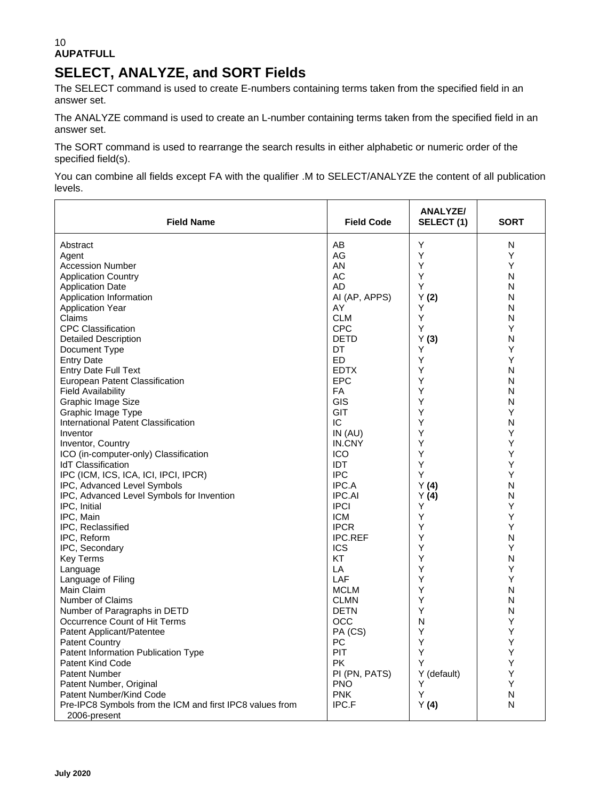# **SELECT, ANALYZE, and SORT Fields**

The SELECT command is used to create E-numbers containing terms taken from the specified field in an answer set.

The ANALYZE command is used to create an L-number containing terms taken from the specified field in an answer set.

The SORT command is used to rearrange the search results in either alphabetic or numeric order of the specified field(s).

You can combine all fields except FA with the qualifier .M to SELECT/ANALYZE the content of all publication levels.

| <b>Field Name</b>                                                        | <b>Field Code</b> | ANALYZE/<br>SELECT (1) | <b>SORT</b> |
|--------------------------------------------------------------------------|-------------------|------------------------|-------------|
| Abstract                                                                 | AB                | Υ                      | N           |
| Agent                                                                    | AG                | Υ                      | Y           |
| <b>Accession Number</b>                                                  | AN                | Y                      | Y           |
| <b>Application Country</b>                                               | AC                | Y                      | N           |
| <b>Application Date</b>                                                  | AD                | Υ                      | N           |
| Application Information                                                  | AI (AP, APPS)     | Y(2)                   | N           |
| <b>Application Year</b>                                                  | AY                | Υ                      | N           |
| Claims                                                                   | <b>CLM</b>        | Υ                      | N           |
| <b>CPC Classification</b>                                                | <b>CPC</b>        | Υ                      | Y           |
| <b>Detailed Description</b>                                              | <b>DETD</b>       | Y(3)                   | N           |
| Document Type                                                            | DT                | Υ                      | Y           |
| <b>Entry Date</b>                                                        | ED                | Υ                      | Υ           |
| <b>Entry Date Full Text</b>                                              | <b>EDTX</b>       | Υ                      | N           |
| European Patent Classification                                           | <b>EPC</b>        | Υ                      | N           |
| <b>Field Availability</b>                                                | FA                | Υ                      | N           |
| Graphic Image Size                                                       | GIS               | Υ                      | N           |
| Graphic Image Type                                                       | <b>GIT</b>        | Υ                      | Υ           |
| International Patent Classification                                      | ТC                | Υ                      | N           |
| Inventor                                                                 | IN(AU)            | Υ                      | Y           |
| Inventor, Country                                                        | IN.CNY            | Υ                      | Υ           |
| ICO (in-computer-only) Classification                                    | ICO               | Υ                      | Υ           |
| <b>IdT</b> Classification                                                | <b>IDT</b>        | Υ                      | Y           |
| IPC (ICM, ICS, ICA, ICI, IPCI, IPCR)                                     | <b>IPC</b>        | Y                      | Υ           |
| IPC, Advanced Level Symbols                                              | IPC.A             | Y(4)                   | N           |
| IPC, Advanced Level Symbols for Invention                                | <b>IPC.AI</b>     | Y(4)                   | Ν           |
| IPC, Initial                                                             | <b>IPCI</b>       | Υ                      | Y           |
| IPC, Main                                                                | <b>ICM</b>        | Υ                      | Y           |
| IPC, Reclassified                                                        | <b>IPCR</b>       | Υ                      | Y           |
| IPC, Reform                                                              | <b>IPC.REF</b>    | Υ                      | N           |
| IPC, Secondary                                                           | <b>ICS</b>        | Υ                      | Υ           |
| <b>Key Terms</b>                                                         | KT                | Υ                      | N           |
| Language                                                                 | LA                | Υ                      | Υ           |
| Language of Filing                                                       | LAF               | Υ                      | Υ           |
| Main Claim                                                               | <b>MCLM</b>       | Υ                      | N           |
| Number of Claims                                                         | <b>CLMN</b>       | Υ                      | N           |
| Number of Paragraphs in DETD                                             | <b>DETN</b>       | Υ                      | N           |
| Occurrence Count of Hit Terms                                            | <b>OCC</b>        | N                      | Y           |
| Patent Applicant/Patentee                                                | PA (CS)           | Υ                      | Υ           |
| <b>Patent Country</b>                                                    | PC                | Υ                      | Υ           |
| Patent Information Publication Type                                      | PIT               | Υ                      | Υ           |
| <b>Patent Kind Code</b>                                                  | PK.               | Υ                      | Y           |
| <b>Patent Number</b>                                                     | PI (PN, PATS)     | Y (default)            | Υ           |
|                                                                          | <b>PNO</b>        | Υ                      | Y           |
| Patent Number, Original<br>Patent Number/Kind Code                       | <b>PNK</b>        | Υ                      | N           |
|                                                                          | IPC.F             |                        | N           |
| Pre-IPC8 Symbols from the ICM and first IPC8 values from<br>2006-present |                   | Y(4)                   |             |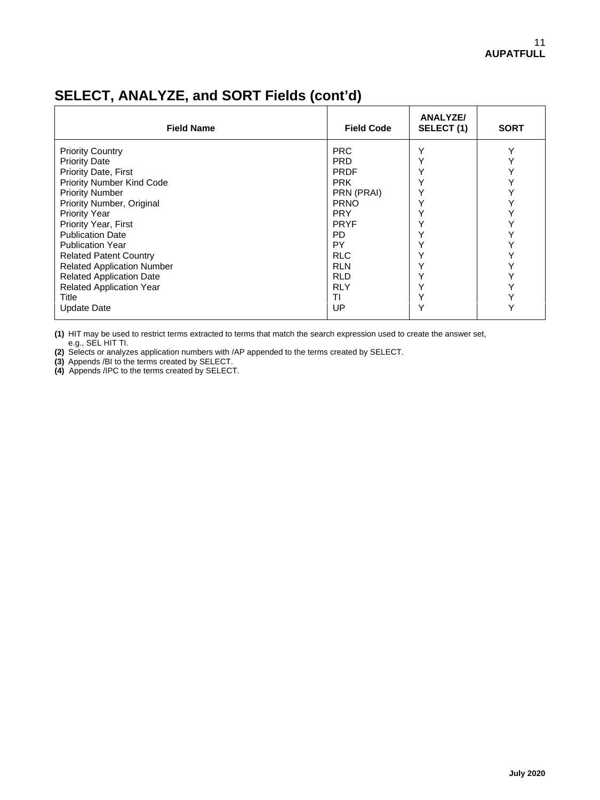### **ANALYZE/ Field Name Field Code SELECT (1) SORT** Priority Country PRC Y Y Priority Date **Priority Date** Priority Date Priority Date Priority Date Priority Date Priority Date Priority Date Priority Date Priority Date Priority Date Priority Date Priority Date Priority Date Priority Date Priority D Priority Date, First PRDF Y Y Priority Number Kind Code PRK Y Y Priority Number PRN (PRAI) Y Y Priority Number, Original PRNO Y Y Priority Year PRY Y Y Priority Year, First  $\begin{array}{c|c|c|c|c} \text{Priority Year, First} & & \text{PPNFF} & & \text{Y} & & \text{Y} & \text{Y} & \text{Y} & \text{Y} & \text{Y} & \text{Y} & \text{Y} & \text{Y} & \text{Y} & \text{Y} & \text{Y} & \text{Y} & \text{Y} & \text{Y} & \text{Y} & \text{Y} & \text{Y} & \text{Y} & \text{Y} & \text{Y} & \text{Y} & \text{Y} & \text{Y} & \text{Y} & \text{Y} & \text{Y} & \text{$ Publication Date PD Y Y Publication Year PY Y Y Related Patent Country RLC Y Y Related Application Number RLN Y Y Related Application Date RLD Y Y

## **SELECT, ANALYZE, and SORT Fields (cont'd)**

**(1)** HIT may be used to restrict terms extracted to terms that match the search expression used to create the answer set, e.g., SEL HIT TI.

Related Application Year RLY Y Y Title TI Y Y Update Date Network and Network and Network and Network and Network and Network and Network and Network and Ne

**(2)** Selects or analyzes application numbers with /AP appended to the terms created by SELECT.

**(3)** Appends /BI to the terms created by SELECT.

**(4)** Appends /IPC to the terms created by SELECT.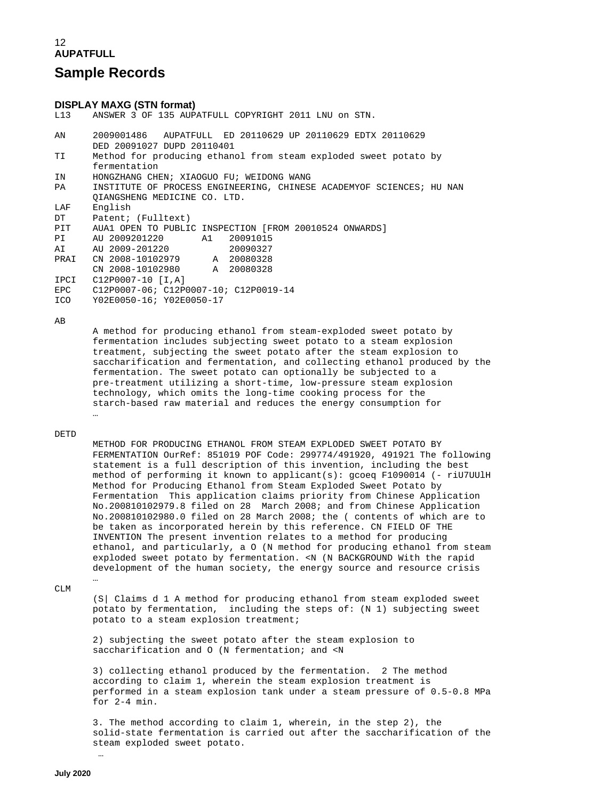## **Sample Records**

# **DISPLAY MAXG (STN format)**

ANSWER 3 OF 135 AUPATFULL COPYRIGHT 2011 LNU on STN.

| AN         | 2009001486 AUPATFULL ED 20110629 UP 20110629 EDTX 20110629           |
|------------|----------------------------------------------------------------------|
|            | DED 20091027 DUPD 20110401                                           |
| TI         | Method for producing ethanol from steam exploded sweet potato by     |
|            | fermentation                                                         |
| IN         | HONGZHANG CHEN; XIAOGUO FU; WEIDONG WANG                             |
| PA         | INSTITUTE OF PROCESS ENGINEERING, CHINESE ACADEMYOF SCIENCES; HU NAN |
|            | OIANGSHENG MEDICINE CO. LTD.                                         |
| LAF        | English                                                              |
| DT         | Patent; (Fulltext)                                                   |
| PIT        | AUA1 OPEN TO PUBLIC INSPECTION [FROM 20010524 ONWARDS]               |
| PI         | 20091015                                                             |
| ΑI         | AU 2009-201220<br>20090327                                           |
| PRAI       | CN 2008-10102979 A 20080328                                          |
|            | CN 2008-10102980 A 20080328                                          |
| IPCI       | C12P0007-10 [I.A]                                                    |
| EPC        | C12P0007-06; C12P0007-10; C12P0019-14                                |
| <b>ICO</b> | Y02E0050-16; Y02E0050-17                                             |
|            |                                                                      |

AB

 A method for producing ethanol from steam-exploded sweet potato by fermentation includes subjecting sweet potato to a steam explosion treatment, subjecting the sweet potato after the steam explosion to saccharification and fermentation, and collecting ethanol produced by the fermentation. The sweet potato can optionally be subjected to a pre-treatment utilizing a short-time, low-pressure steam explosion technology, which omits the long-time cooking process for the starch-based raw material and reduces the energy consumption for

#### DETD

…

 METHOD FOR PRODUCING ETHANOL FROM STEAM EXPLODED SWEET POTATO BY FERMENTATION OurRef: 851019 POF Code: 299774/491920, 491921 The following statement is a full description of this invention, including the best method of performing it known to applicant(s): gcoeq F1090014 (- riU7UUlH Method for Producing Ethanol from Steam Exploded Sweet Potato by Fermentation This application claims priority from Chinese Application No.200810102979.8 filed on 28 March 2008; and from Chinese Application No.200810102980.0 filed on 28 March 2008; the ( contents of which are to be taken as incorporated herein by this reference. CN FIELD OF THE INVENTION The present invention relates to a method for producing ethanol, and particularly, a O (N method for producing ethanol from steam exploded sweet potato by fermentation. <N (N BACKGROUND With the rapid development of the human society, the energy source and resource crisis

 … CLM

> (S| Claims d 1 A method for producing ethanol from steam exploded sweet potato by fermentation, including the steps of: (N 1) subjecting sweet potato to a steam explosion treatment;

 2) subjecting the sweet potato after the steam explosion to saccharification and O (N fermentation; and <N

 3) collecting ethanol produced by the fermentation. 2 The method according to claim 1, wherein the steam explosion treatment is performed in a steam explosion tank under a steam pressure of 0.5-0.8 MPa for 2-4 min.

 3. The method according to claim 1, wherein, in the step 2), the solid-state fermentation is carried out after the saccharification of the steam exploded sweet potato.

…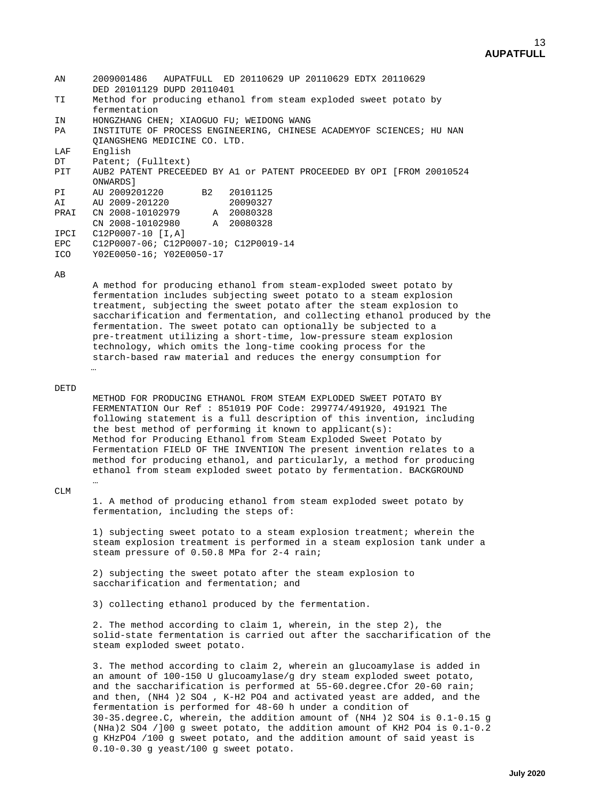| 2009001486 AUPATFULL ED 20110629 UP 20110629 EDTX 20110629<br>DED 20101129 DUPD 20110401 |
|------------------------------------------------------------------------------------------|
| Method for producing ethanol from steam exploded sweet potato by                         |
| fermentation                                                                             |
| HONGZHANG CHEN; XIAOGUO FU; WEIDONG WANG                                                 |
| INSTITUTE OF PROCESS ENGINEERING, CHINESE ACADEMYOF SCIENCES; HU NAN                     |
| OIANGSHENG MEDICINE CO. LTD.                                                             |
| English                                                                                  |
| Patent; (Fulltext)                                                                       |
| AUB2 PATENT PRECEEDED BY A1 or PATENT PROCEEDED BY OPI (FROM 20010524                    |
| ONWARDS 1                                                                                |
| AU 2009201220 B2<br>20101125                                                             |
| AU 2009-201220<br>20090327                                                               |
| CN 2008-10102979 A 20080328                                                              |
| CN 2008-10102980 A 20080328                                                              |
| $C12P0007-10$ [I,A]                                                                      |
| C12P0007-06; C12P0007-10; C12P0019-14                                                    |
| Y02E0050-16; Y02E0050-17                                                                 |
|                                                                                          |

#### AB

 A method for producing ethanol from steam-exploded sweet potato by fermentation includes subjecting sweet potato to a steam explosion treatment, subjecting the sweet potato after the steam explosion to saccharification and fermentation, and collecting ethanol produced by the fermentation. The sweet potato can optionally be subjected to a pre-treatment utilizing a short-time, low-pressure steam explosion technology, which omits the long-time cooking process for the starch-based raw material and reduces the energy consumption for

#### DETD

…

 METHOD FOR PRODUCING ETHANOL FROM STEAM EXPLODED SWEET POTATO BY FERMENTATION Our Ref : 851019 POF Code: 299774/491920, 491921 The following statement is a full description of this invention, including the best method of performing it known to applicant(s): Method for Producing Ethanol from Steam Exploded Sweet Potato by Fermentation FIELD OF THE INVENTION The present invention relates to a method for producing ethanol, and particularly, a method for producing ethanol from steam exploded sweet potato by fermentation. BACKGROUND

#### CT.M

…

 1. A method of producing ethanol from steam exploded sweet potato by fermentation, including the steps of:

 1) subjecting sweet potato to a steam explosion treatment; wherein the steam explosion treatment is performed in a steam explosion tank under a steam pressure of 0.50.8 MPa for 2-4 rain;

 2) subjecting the sweet potato after the steam explosion to saccharification and fermentation; and

3) collecting ethanol produced by the fermentation.

 2. The method according to claim 1, wherein, in the step 2), the solid-state fermentation is carried out after the saccharification of the steam exploded sweet potato.

 3. The method according to claim 2, wherein an glucoamylase is added in an amount of 100-150 U glucoamylase/g dry steam exploded sweet potato, and the saccharification is performed at 55-60.degree.Cfor 20-60 rain; and then, (NH4 )2 SO4 , K-H2 PO4 and activated yeast are added, and the fermentation is performed for 48-60 h under a condition of 30-35.degree.C, wherein, the addition amount of (NH4 )2 SO4 is 0.1-0.15 g (NHa)2 SO4 /]00 g sweet potato, the addition amount of KH2 PO4 is 0.1-0.2 g KHzPO4 /100 g sweet potato, and the addition amount of said yeast is 0.10-0.30 g yeast/100 g sweet potato.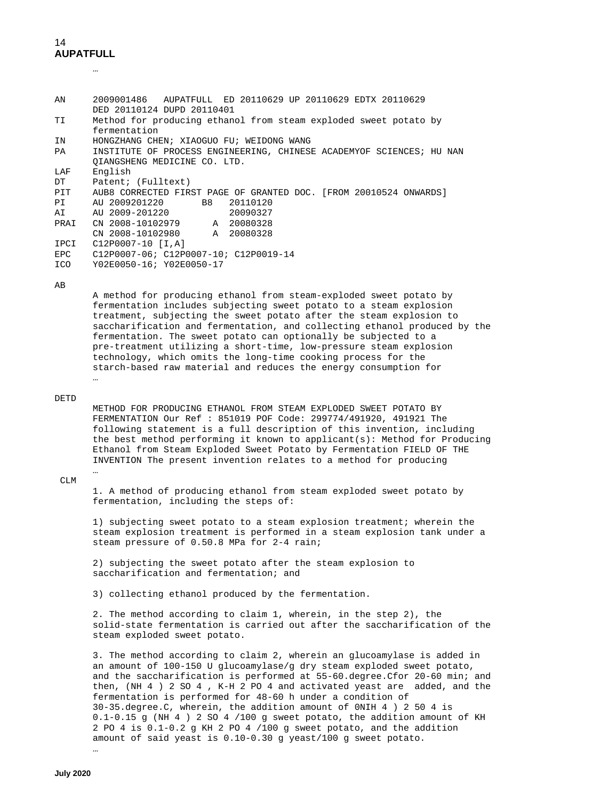| AN   | 2009001486 AUPATFULL ED 20110629 UP 20110629 EDTX 20110629                                     |
|------|------------------------------------------------------------------------------------------------|
| TI   | DED 20110124 DUPD 20110401<br>Method for producing ethanol from steam exploded sweet potato by |
|      | fermentation                                                                                   |
| IN   | HONGZHANG CHEN; XIAOGUO FU; WEIDONG WANG                                                       |
| PA   | INSTITUTE OF PROCESS ENGINEERING, CHINESE ACADEMYOF SCIENCES; HU NAN                           |
|      | OIANGSHENG MEDICINE CO. LTD.                                                                   |
| LAF  | English                                                                                        |
| DT   | Patent; (Fulltext)                                                                             |
| PIT  | AUB8 CORRECTED FIRST PAGE OF GRANTED DOC. [FROM 20010524 ONWARDS]                              |
| PI   | AU 2009201220<br><b>B8</b><br>20110120                                                         |
| AI   | AU 2009-201220<br>20090327                                                                     |
| PRAI | CN 2008-10102979 A 20080328                                                                    |
|      | A 20080328<br>CN 2008-10102980                                                                 |
| IPCI | C12P0007-10 [I.A]                                                                              |
| EPC  | $C12P0007-06; C12P0007-10; C12P0019-14$                                                        |
| ICO  | Y02E0050-16; Y02E0050-17                                                                       |
|      |                                                                                                |

AB

 A method for producing ethanol from steam-exploded sweet potato by fermentation includes subjecting sweet potato to a steam explosion treatment, subjecting the sweet potato after the steam explosion to saccharification and fermentation, and collecting ethanol produced by the fermentation. The sweet potato can optionally be subjected to a pre-treatment utilizing a short-time, low-pressure steam explosion technology, which omits the long-time cooking process for the starch-based raw material and reduces the energy consumption for

#### DETD

…

 METHOD FOR PRODUCING ETHANOL FROM STEAM EXPLODED SWEET POTATO BY FERMENTATION Our Ref : 851019 POF Code: 299774/491920, 491921 The following statement is a full description of this invention, including the best method performing it known to applicant(s): Method for Producing Ethanol from Steam Exploded Sweet Potato by Fermentation FIELD OF THE INVENTION The present invention relates to a method for producing

#### … CLM

 1. A method of producing ethanol from steam exploded sweet potato by fermentation, including the steps of:

 1) subjecting sweet potato to a steam explosion treatment; wherein the steam explosion treatment is performed in a steam explosion tank under a steam pressure of 0.50.8 MPa for 2-4 rain;

 2) subjecting the sweet potato after the steam explosion to saccharification and fermentation; and

3) collecting ethanol produced by the fermentation.

 2. The method according to claim 1, wherein, in the step 2), the solid-state fermentation is carried out after the saccharification of the steam exploded sweet potato.

 3. The method according to claim 2, wherein an glucoamylase is added in an amount of 100-150 U glucoamylase/g dry steam exploded sweet potato, and the saccharification is performed at 55-60.degree.Cfor 20-60 min; and then, (NH 4 ) 2 SO 4 , K-H 2 PO 4 and activated yeast are added, and the fermentation is performed for 48-60 h under a condition of 30-35.degree.C, wherein, the addition amount of 0NIH 4 ) 2 50 4 is 0.1-0.15 g (NH 4 ) 2 SO 4 /100 g sweet potato, the addition amount of KH 2 PO 4 is 0.1-0.2 g KH 2 PO 4 /100 g sweet potato, and the addition amount of said yeast is 0.10-0.30 g yeast/100 g sweet potato.

…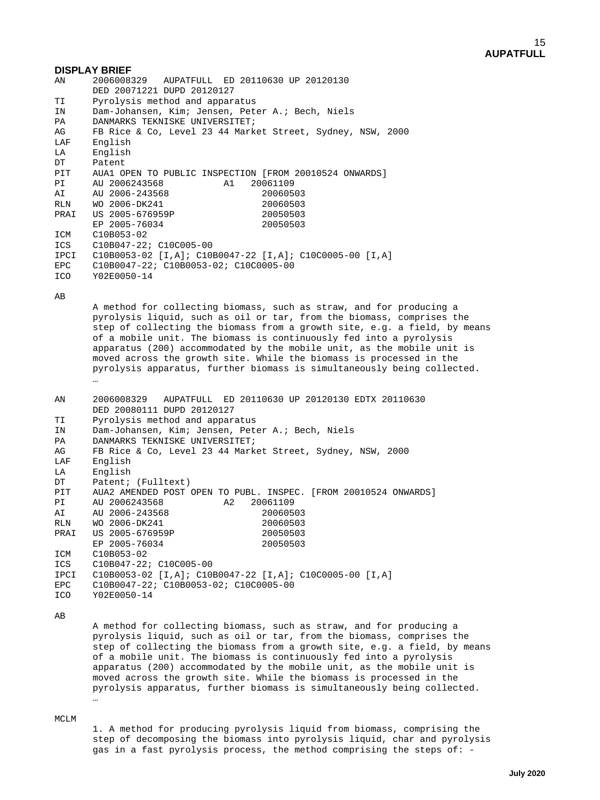### **DISPLAY BRIEF**

| ΑN   | 2006008329 AUPATFULL ED 20110630 UP 20120130                  |
|------|---------------------------------------------------------------|
|      | DED 20071221 DUPD 20120127                                    |
| TI   | Pyrolysis method and apparatus                                |
| IN   | Dam-Johansen, Kim; Jensen, Peter A.; Bech, Niels              |
| PA   | DANMARKS TEKNISKE UNIVERSITET;                                |
| AG   | FB Rice & Co, Level 23 44 Market Street, Sydney, NSW, 2000    |
| LAF  | English                                                       |
| LA   | English                                                       |
| DT   | Patent                                                        |
| PIT  | AUA1 OPEN TO PUBLIC INSPECTION [FROM 20010524 ONWARDS]        |
| PI   | AU 2006243568<br>A1<br>20061109                               |
| AI   | AU 2006-243568<br>20060503                                    |
| RLN  | 20060503<br>WO 2006-DK241                                     |
| PRAI | US 2005-676959P<br>20050503                                   |
|      | EP 2005-76034<br>20050503                                     |
| ICM  | C10B053-02                                                    |
| ICS  | C10B047-22; C10C005-00                                        |
| IPCI | $C10B0053-02$ [I,A]; $C10B0047-22$ [I,A]; $C10C0005-00$ [I,A] |
| EPC  | C10B0047-22; C10B0053-02; C10C0005-00                         |
| ICO  | Y02E0050-14                                                   |
|      |                                                               |

AB

 A method for collecting biomass, such as straw, and for producing a pyrolysis liquid, such as oil or tar, from the biomass, comprises the step of collecting the biomass from a growth site, e.g. a field, by means of a mobile unit. The biomass is continuously fed into a pyrolysis apparatus (200) accommodated by the mobile unit, as the mobile unit is moved across the growth site. While the biomass is processed in the pyrolysis apparatus, further biomass is simultaneously being collected. …

AN AN 2006008329 AUPATFULL ED 20110630 UP 20120130 EDTX 20110630 DED 20080111 DUPD 20120127<br>TI Pyrolysis method and appar TI Pyrolysis method and apparatus<br>IN Dam-Johansen, Kim: Jensen, Pet IN Dam-Johansen, Kim; Jensen, Peter A.; Bech, Niels PA DANMARKS TEKNISKE UNIVERSITET;<br>AG FB Rice & Co, Level 23 44 Mark AG FB Rice & Co, Level 23 44 Market Street, Sydney, NSW, 2000<br>LAF English LAF English<br>LA English LA English<br>DT Patent; DT Patent; (Fulltext)<br>PIT AUA2 AMENDED POST ( PIT AUA2 AMENDED POST OPEN TO PUBL. INSPEC. [FROM 20010524 ONWARDS]<br>PT AU 2006243568 (20061109 PI AU 2006243568 A2 20061109<br>AT AU 2006-243568 20060503 AI AU 2006-243568 20060503<br>RLN WO 2006-DK241 20060503 RLN WO 2006-DK241 20060503<br>
PRAI US 2005-676959P 20050503 9 1005-676959P 20050503<br>PE 2005-76034 20050503 EP 2005-76034<br>ICM C10B053-02 ICM C10B053-02 C10B047-22; C10C005-00 IPCI C10B0053-02 [I,A]; C10B0047-22 [I,A]; C10C0005-00 [I,A]<br>EPC C10B0047-22; C10B0053-02; C10C0005-00 EPC C10B0047-22; C10B0053-02; C10C0005-00<br>ICO Y02E0050-14 Y02E0050-14

AB

 A method for collecting biomass, such as straw, and for producing a pyrolysis liquid, such as oil or tar, from the biomass, comprises the step of collecting the biomass from a growth site, e.g. a field, by means of a mobile unit. The biomass is continuously fed into a pyrolysis apparatus (200) accommodated by the mobile unit, as the mobile unit is moved across the growth site. While the biomass is processed in the pyrolysis apparatus, further biomass is simultaneously being collected. …

MCLM

 1. A method for producing pyrolysis liquid from biomass, comprising the step of decomposing the biomass into pyrolysis liquid, char and pyrolysis gas in a fast pyrolysis process, the method comprising the steps of: -